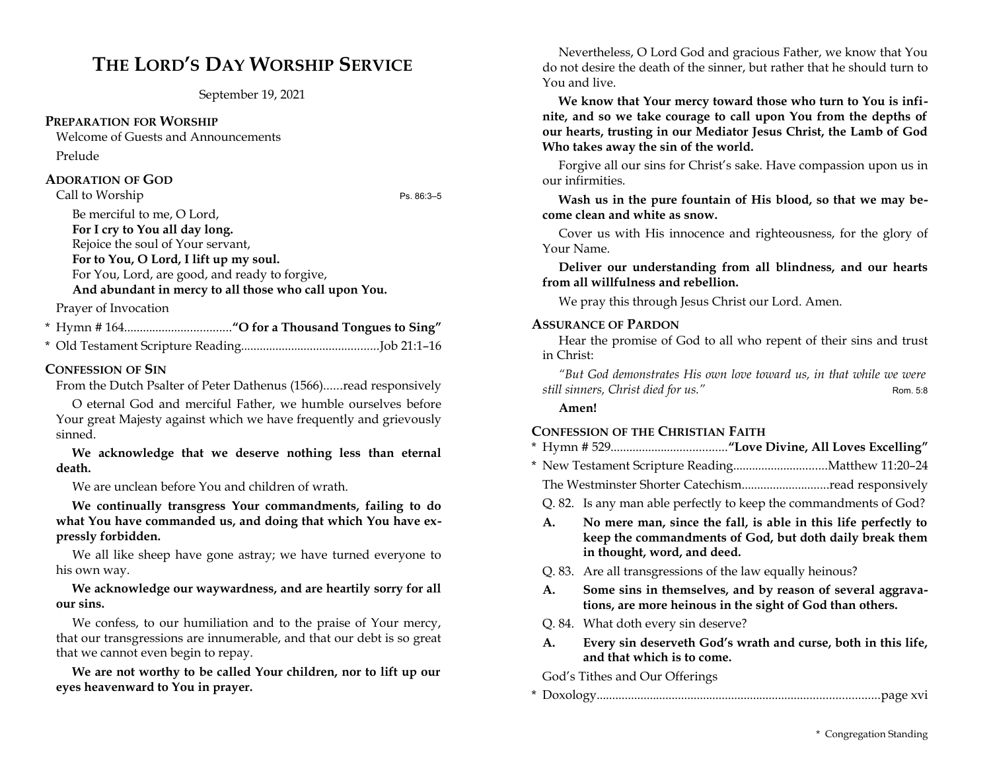# **THE LORD'S DAY WORSHIP SERVICE**

September 19, 2021

### **PREPARATION FOR WORSHIP**

Welcome of Guests and Announcements Prelude

### **ADORATION OF GOD**

Call to Worship Ps. 86:3–5

Be merciful to me, O Lord,

**For I cry to You all day long.**

Rejoice the soul of Your servant, **For to You, O Lord, I lift up my soul.**

For You, Lord, are good, and ready to forgive,

**And abundant in mercy to all those who call upon You.**

Prayer of Invocation

\* Hymn # 164..................................**"O for a Thousand Tongues to Sing"**

\* Old Testament Scripture Reading............................................Job 21:1–16

## **CONFESSION OF SIN**

From the Dutch Psalter of Peter Dathenus (1566)......read responsively

O eternal God and merciful Father, we humble ourselves before Your great Majesty against which we have frequently and grievously sinned.

**We acknowledge that we deserve nothing less than eternal death.** 

We are unclean before You and children of wrath.

**We continually transgress Your commandments, failing to do what You have commanded us, and doing that which You have expressly forbidden.** 

We all like sheep have gone astray; we have turned everyone to his own way.

## **We acknowledge our waywardness, and are heartily sorry for all our sins.**

We confess, to our humiliation and to the praise of Your mercy, that our transgressions are innumerable, and that our debt is so great that we cannot even begin to repay.

**We are not worthy to be called Your children, nor to lift up our eyes heavenward to You in prayer.**

Nevertheless, O Lord God and gracious Father, we know that You do not desire the death of the sinner, but rather that he should turn to You and live.

**We know that Your mercy toward those who turn to You is infinite, and so we take courage to call upon You from the depths of our hearts, trusting in our Mediator Jesus Christ, the Lamb of God Who takes away the sin of the world.** 

Forgive all our sins for Christ's sake. Have compassion upon us in our infirmities.

**Wash us in the pure fountain of His blood, so that we may become clean and white as snow.** 

Cover us with His innocence and righteousness, for the glory of Your Name.

**Deliver our understanding from all blindness, and our hearts from all willfulness and rebellion.** 

We pray this through Jesus Christ our Lord. Amen.

### **ASSURANCE OF PARDON**

Hear the promise of God to all who repent of their sins and trust in Christ:

*"But God demonstrates His own love toward us, in that while we were still sinners, Christ died for us."* Rom. 5:8

**Amen!**

## **CONFESSION OF THE CHRISTIAN FAITH**

|--|--|--|--|--|

- \* New Testament Scripture Reading..............................Matthew 11:20–24
	- The Westminster Shorter Catechism............................read responsively
	- Q. 82. Is any man able perfectly to keep the commandments of God?
	- **A. No mere man, since the fall, is able in this life perfectly to keep the commandments of God, but doth daily break them in thought, word, and deed.**
	- Q. 83. Are all transgressions of the law equally heinous?
	- **A. Some sins in themselves, and by reason of several aggravations, are more heinous in the sight of God than others.**
- Q. 84. What doth every sin deserve?
- **A. Every sin deserveth God's wrath and curse, both in this life, and that which is to come.**

God's Tithes and Our Offerings

|--|--|--|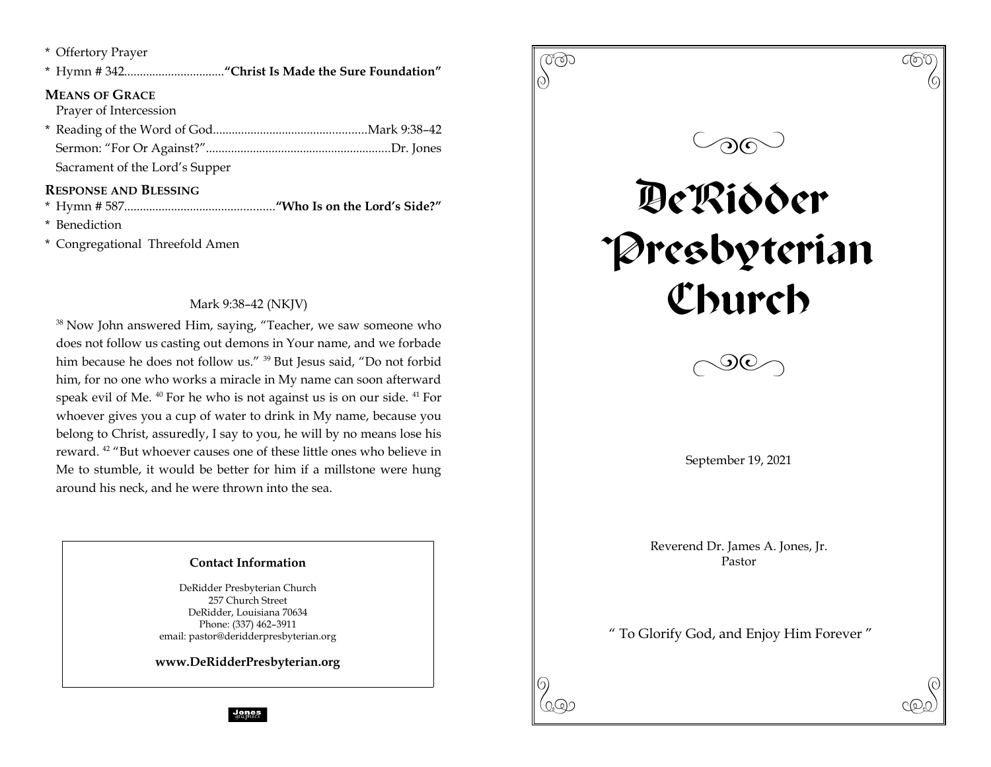| * Offertory Prayer             |
|--------------------------------|
|                                |
| <b>MEANS OF GRACE</b>          |
| Prayer of Intercession         |
|                                |
|                                |
| Sacrament of the Lord's Supper |
| <b>RESPONSE AND BLESSING</b>   |
|                                |
|                                |

\* Benediction

\* Congregational Threefold Amen

## Mark 9:38–42 (NKJV)

<sup>38</sup> Now John answered Him, saying, "Teacher, we saw someone who does not follow us casting out demons in Your name, and we forbade him because he does not follow us." <sup>39</sup> But Jesus said, "Do not forbid him, for no one who works a miracle in My name can soon afterward speak evil of Me. <sup>40</sup> For he who is not against us is on our side. <sup>41</sup> For whoever gives you a cup of water to drink in My name, because you belong to Christ, assuredly, I say to you, he will by no means lose his reward. <sup>42</sup> "But whoever causes one of these little ones who believe in Me to stumble, it would be better for him if a millstone were hung around his neck, and he were thrown into the sea.

## **Contact Information**

DeRidder Presbyterian Church 257 Church Street DeRidder, Louisiana 70634 Phone: (337) 462–3911 email: pastor@deridderpresbyterian.org

**www.DeRidderPresbyterian.org**

**Jones**<br>graphics

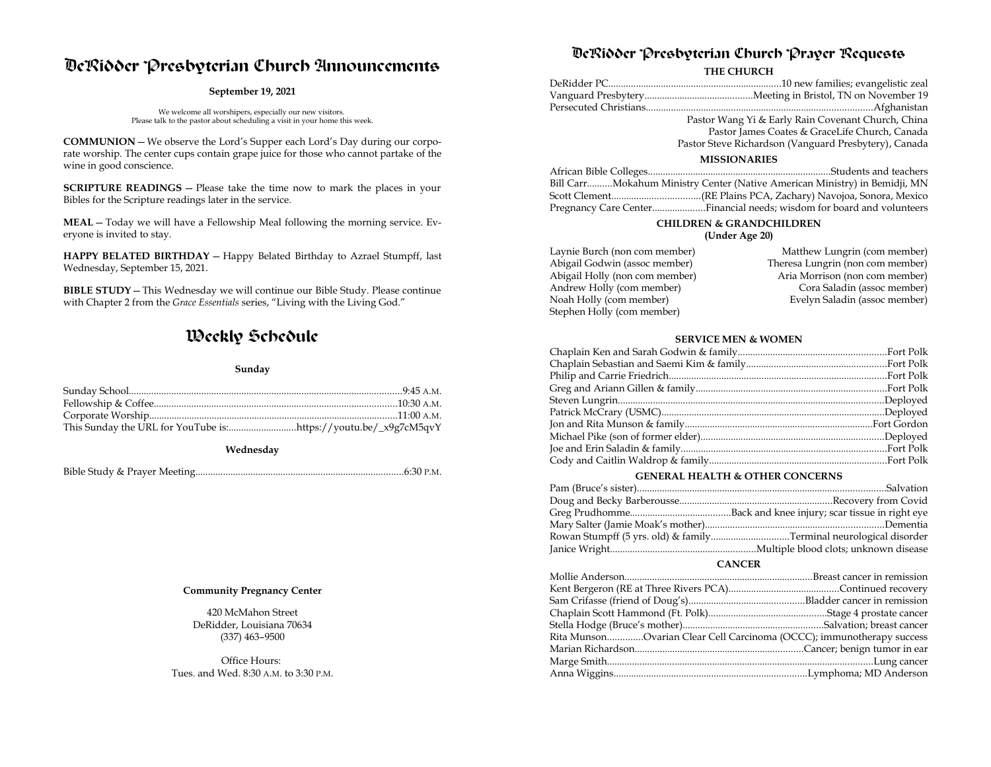## DeRidder Presbyterian Church Announcements

#### **September 19, 2021**

We welcome all worshipers, especially our new visitors. Please talk to the pastor about scheduling a visit in your home this week.

**COMMUNION**—We observe the Lord's Supper each Lord's Day during our corporate worship. The center cups contain grape juice for those who cannot partake of the wine in good conscience.

**SCRIPTURE READINGS** — Please take the time now to mark the places in your Bibles for the Scripture readings later in the service.

**MEAL**—Today we will have a Fellowship Meal following the morning service. Everyone is invited to stay.

**HAPPY BELATED BIRTHDAY** — Happy Belated Birthday to Azrael Stumpff, last Wednesday, September 15, 2021.

**BIBLE STUDY**—This Wednesday we will continue our Bible Study. Please continue with Chapter 2 from the *Grace Essentials* series, "Living with the Living God."

## Weekly Schedule

#### **Sunday**

| This Sunday the URL for YouTube is:https://youtu.be/_x9g7cM5qvY |  |
|-----------------------------------------------------------------|--|

#### **Wednesday**

#### **Community Pregnancy Center**

420 McMahon Street DeRidder, Louisiana 70634 (337) 463–9500

Office Hours: Tues. and Wed. 8:30 A.M. to 3:30 P.M.

## DeRidder Presbyterian Church Prayer Requests

#### **THE CHURCH**

|                     | Pastor Wang Yi & Early Rain Covenant Church, China                         |  |  |  |
|---------------------|----------------------------------------------------------------------------|--|--|--|
|                     | Pastor James Coates & GraceLife Church, Canada                             |  |  |  |
|                     | Pastor Steve Richardson (Vanguard Presbytery), Canada                      |  |  |  |
| <b>MISSIONARIES</b> |                                                                            |  |  |  |
|                     |                                                                            |  |  |  |
|                     | Bill CarrMokahum Ministry Center (Native American Ministry) in Bemidji, MN |  |  |  |
|                     |                                                                            |  |  |  |

Scott Clement...................................(RE Plains PCA, Zachary) Navojoa, Sonora, Mexico Pregnancy Care Center.....................Financial needs; wisdom for board and volunteers

### **CHILDREN & GRANDCHILDREN**

### **(Under Age 20)**

| Laynie Burch (non com member)  | Matthew Lungrin (com member)     |
|--------------------------------|----------------------------------|
| Abigail Godwin (assoc member)  | Theresa Lungrin (non com member) |
| Abigail Holly (non com member) | Aria Morrison (non com member)   |
| Andrew Holly (com member)      | Cora Saladin (assoc member)      |
| Noah Holly (com member)        | Evelyn Saladin (assoc member)    |
| Stephen Holly (com member)     |                                  |

#### **SERVICE MEN & WOMEN**

#### **GENERAL HEALTH & OTHER CONCERNS**

| Rowan Stumpff (5 yrs. old) & familyTerminal neurological disorder |
|-------------------------------------------------------------------|
|                                                                   |

#### **CANCER**

| Rita MunsonOvarian Clear Cell Carcinoma (OCCC); immunotherapy success |  |
|-----------------------------------------------------------------------|--|
|                                                                       |  |
|                                                                       |  |
|                                                                       |  |